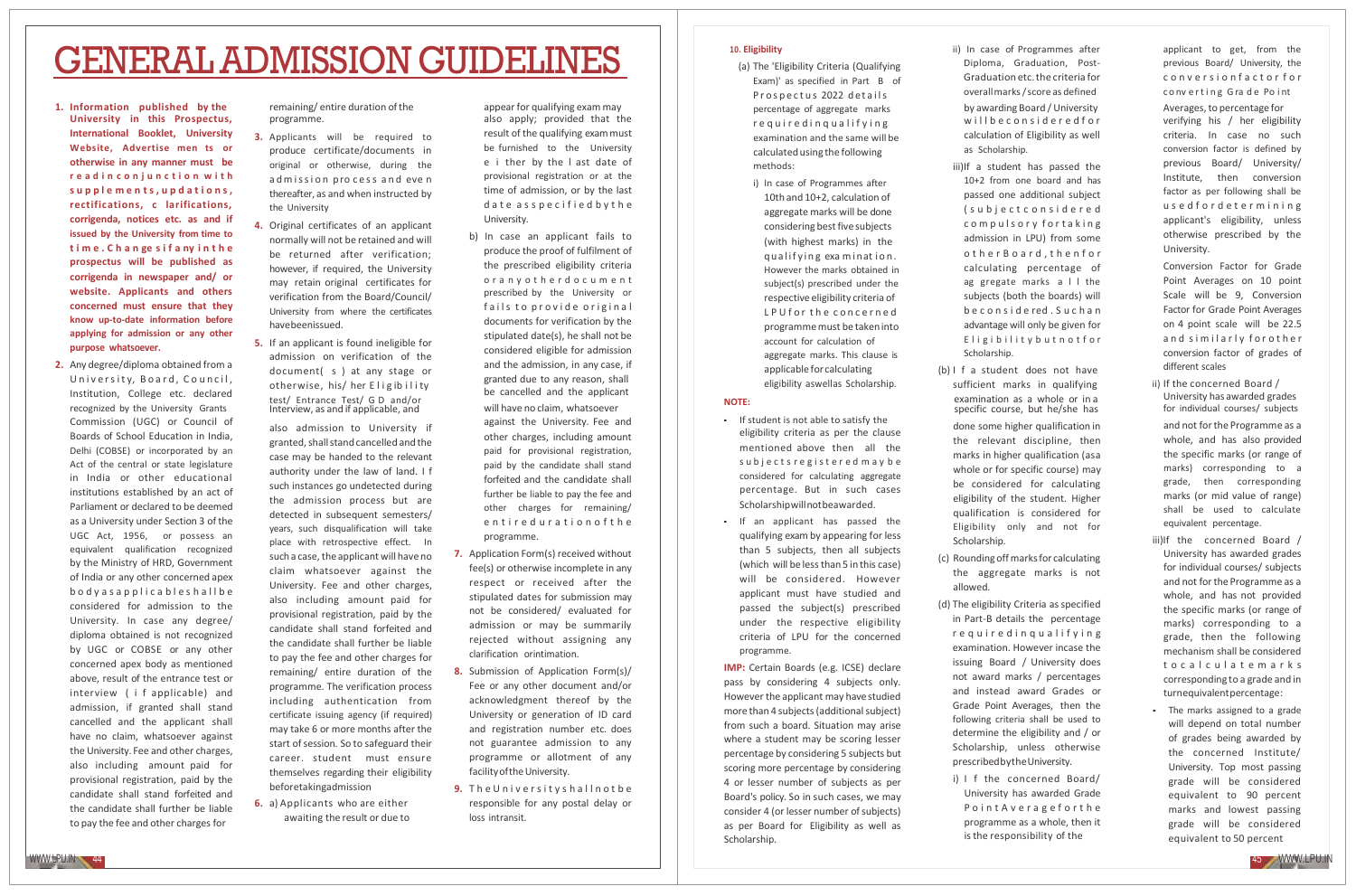# GENERALADMISSION GUIDELINES

- **1. Information published by the University in this Prospectus, International Booklet, University Website, Advertise men ts or otherwise in any manner must be r e a d i n c o n j u n c t i o n w i t h s u p p l e m e n t s , u p d a t i o n s , rectifications, c larifications, corrigenda, notices etc. as and if issued by the University from time to t i m e . C h a n ge s i f a ny i n t h e prospectus will be published as corrigenda in newspaper and/ or website. Applicants and others concerned must ensure that they know up‐to‐date information before applying for admission or any other purpose whatsoever.**
- **2.** Any degree/diploma obtained from a University, Board, Council, Institution, College etc. declared recognized by the University Grants Commission (UGC) or Council of Boards of School Education in India, Delhi (COBSE) or incorporated by an Act of the central or state legislature in India or other educational institutions established by an act of Parliament or declared to be deemed as a University under Section 3 of the UGC Act, 1956, or possess an equivalent qualification recognized by the Ministry of HRD, Government of India or any other concerned apex b o d y a s a p p l i c a b l e s h a l l b e considered for admission to the University. In case any degree/ diploma obtained is not recognized by UGC or COBSE or any other concerned apex body as mentioned above, result of the entrance test or interview ( i f applicable) and admission, if granted shall stand cancelled and the applicant shall have no claim, whatsoever against the University. Fee and other charges, also including amount paid for provisional registration, paid by the candidate shall stand forfeited and the candidate shall further be liable to pay the fee and other charges for

remaining/entire duration of the programme.

- **3.** Applicants will be required to produce certificate/documents in original or otherwise, during the admission process and even thereafter, as and when instructed by the University
- **4.** Original certificates of an applicant normally will not be retained and will be returned after verification; however, if required, the University may retain original certificates for verification from the Board/Council/ University from where the certificates havebeenissued.
- **5.** If an applicant is found ineligible for admission on verification of the document( s ) at any stage or otherwise, his/ her Eligibility test/ Entrance Test/ G D and/or Interview, as and if applicable, and

also admission to University if granted,shallstandcancelled andthe case may be handed to the relevant authority under the law of land. I f such instances go undetected during the admission process but are detected in subsequent semesters/ years, such disqualification will take place with retrospective effect. In such a case, the applicant will have no claim whatsoever against the University. Fee and other charges, also including amount paid for provisional registration, paid by the candidate shall stand forfeited and the candidate shall further be liable to pay the fee and other charges for remaining/ entire duration of the programme. The verification process including authentication from certificate issuing agency (if required) may take 6 or more months after the start of session. So to safeguard their career. student must ensure themselves regarding their eligibility beforetakingadmission

**6.** a) Applicants who are either awaiting the result or due to

appearfor qualifying exam may also apply; provided that the result of the qualifying exammust be furnished to the University e i ther by the l ast date of provisional registration or at the time of admission, or by the last d a t e asspecified by the University.

- b) In case an applicant fails to produce the proof of fulfilment of the prescribed eligibility criteria o r a n y o t h e r d o c u m e n t prescribed by the University or fails to provide original documents for verification by the stipulated date(s), he shall not be considered eligible for admission and the admission, in any case, if granted due to any reason, shall be cancelled and the applicant will have no claim, whatsoever **NOTE:** against the University. Fee and other charges, including amount paid for provisional registration, paid by the candidate shall stand forfeited and the candidate shall further be liable to pay the fee and other charges for remaining/ e n t i r e d u r a t i o n o f t h e programme.
- **7.** Application Form(s) received without fee(s) or otherwise incomplete in any respect or received after the stipulated dates for submission may not be considered/ evaluated for admission or may be summarily rejected without assigning any clarification orintimation.
- **8.** Submission of Application Form(s)/ Fee or any other document and/or acknowledgment thereof by the University or generation of ID card and registration number etc. does not guarantee admission to any programme or allotment of any facility of the University.
- **9.** The University shall not be responsible for any postal delay or loss intransit.

### **10. Eligibility**

- (a) The 'Eligibility Criteria (Qualifying Exam)' as specified in Part B of Prospectus 2022 details percentage of aggregate marks r e qui r e d i n q u a l if y i n g examination and the same will be calculated using the following methods:
- i) In case of Programmes after 10th and 10+2, calculation of aggregate marks will be done considering best five subjects (with highest marks) in the qualifying examination. However the marks obtained in subject(s) prescribed under the respective eligibility criteria of L P U f or the concerned programmemust be takeninto account for calculation of aggregate marks. This clause is applicablefor calculating eligibility aswellas Scholarship.

- If student is not able to satisfy the eligibility criteria as per the clause mentioned above then all the s u b j e c t s r e g i s t e r e d m a y b e considered for calculating aggregate percentage. But in such cases Scholarshipwillnotbeawarded.
- If an applicant has passed the qualifying exam by appearing for less than 5 subjects, then all subjects (which will be lessthan 5 in this case) will be considered. However applicant must have studied and passed the subject(s) prescribed under the respective eligibility criteria of LPU for the concerned programme.

**IMP:** Certain Boards (e.g. ICSE) declare pass by considering 4 subjects only. However the applicant may havestudied more than 4 subjects (additional subject) from such a board. Situation may arise where a student may be scoring lesser percentage by considering 5 subjects but scoring more percentage by considering 4 or lesser number of subjects as per Board's policy. So in such cases, we may consider 4 (or lesser number of subjects) as per Board for Eligibility as well as Scholarship.

ii) In case of Programmes after Diploma, Graduation, Post-Graduation etc.the criteria for overallmarks/score as defined by awarding Board / University w ill be considered for calculation of Eligibility as well as Scholarship.

- iii)If a student has passed the 10+2 from one board and has passed one additional subject ( s u b j e c t c o n s i d e r e d c o m p u l s o r y f o r t a k i n g admission in LPU) from some other Board, thenfor calculating percentage of ag gregate marks a l l the subjects (both the boards) will b e c o n s i d e red . S u c h a n advantage will only be given for Eligibility but notfor Scholarship.
- (b) I f a student does not have sufficient marks in qualifying examination as a whole or in a specific course, but he/she has done some higher qualification in the relevant discipline, then marks in higher qualification (asa whole or for specific course) may be considered for calculating eligibility of the student. Higher qualification is considered for Eligibility only and not for
- (c) Rounding offmarksfor calculating the aggregate marks is not allowed.

Scholarship.

- (d) The eligibility Criteria as specified in Part‐B details the percentage r e q u i r e d i n q u a l i f y i n g examination. However incase the issuing Board / University does not award marks / percentages and instead award Grades or Grade Point Averages, then the following criteria shall be used to determine the eligibility and / or Scholarship, unless otherwise prescribedbytheUniversity.
	- i) I f the concerned Board/ University has awarded Grade Point A v e r a g e f or the programme as a whole, then it is the responsibility of the

applicant to get, from the previous Board/ University, the c o n v e r s i o n f a c t o r f o r converting Grade Point Averages,to percentage for verifying his / her eligibility criteria. In case no such conversion factor is defined by previous Board/ University/ Institute, then conversion factor as per following shall be us e d f o r d e t e r m i n i n g applicant's eligibility, unless otherwise prescribed by the University.

Conversion Factor for Grade Point Averages on 10 point Scale will be 9, Conversion Factor for Grade Point Averages on 4 point scale will be 22.5 and similarly for other conversion factor of grades of different scales

ii) If the concerned Board / University has awarded grades for individual courses/ subjects

and not forthe Programme as a whole, and has also provided the specific marks (or range of marks) corresponding to a grade, then corresponding marks (or mid value of range) shall be used to calculate equivalent percentage.

- iii)If the concerned Board / University has awarded grades for individual courses/ subjects and not forthe Programme as a whole, and has not provided the specific marks (or range of marks) corresponding to a grade, then the following mechanism shall be considered t o c a l c u l a t e m a r k s corresponding to a grade and in turnequivalentpercentage:
- The marks assigned to a grade will depend on total number of grades being awarded by the concerned Institute/ University. Top most passing grade will be considered equivalent to 90 percent marks and lowest passing grade will be considered equivalent to 50 percent

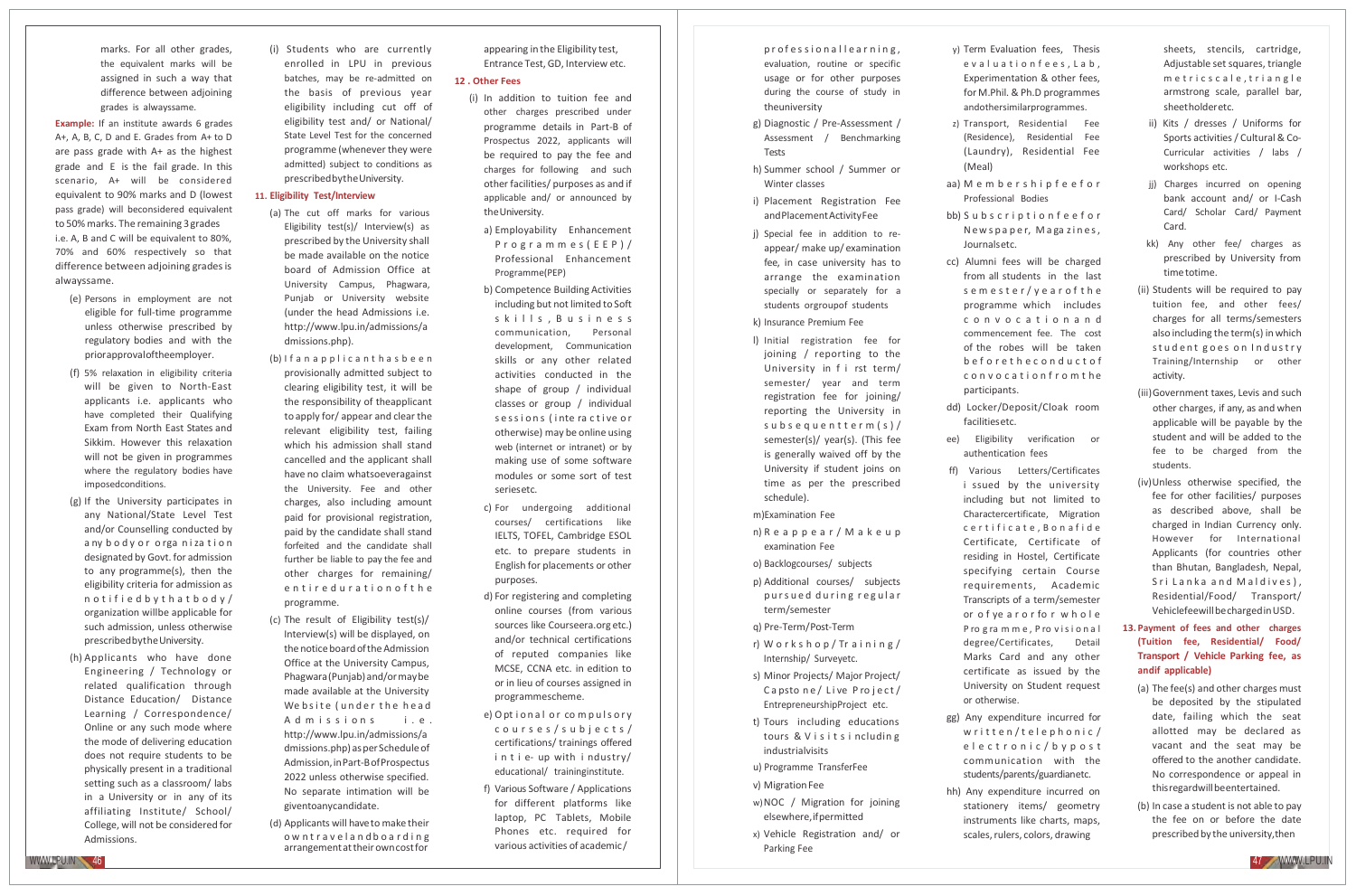marks. For all other grades, the equivalent marks will be assigned in such a way that difference between adjoining grades is alwayssame.

**Example:** If an institute awards 6 grades A+, A, B, C, D and E. Grades from A+ to D are pass grade with A+ as the highest grade and E is the fail grade. In this scenario, A+ will be considered equivalent to 90% marks and D (lowest pass grade) will beconsidered equivalent to 50% marks. The remaining 3 grades i.e. A, B and C will be equivalent to 80%, 70% and 60% respectively so that difference between adjoining grades is alwayssame.

- (e) Persons in employment are not eligible for full-time programme unless otherwise prescribed by regulatory bodies and with the priorapprovaloftheemployer.
- (f) 5% relaxation in eligibility criteria will be given to North‐East applicants i.e. applicants who have completed their Qualifying Exam from North East States and Sikkim. However this relaxation will not be given in programmes where the regulatory bodies have imposedconditions.
- (g) If the University participates in any National/State Level Test and/or Counselling conducted by a ny body or orga nization designated by Govt. for admission to any programme(s), then the eligibility criteria for admission as n o t i f i e d b y t h a t b o d y / organization willbe applicable for such admission, unless otherwise prescribedbytheUniversity.
- (h) Applicants who have done Engineering / Technology or related qualification through Distance Education/ Distance Learning / Correspondence/ Online or any such mode where the mode of delivering education does not require students to be physically present in a traditional setting such as a classroom/ labs in a University or in any of its affiliating Institute/ School/ College, will not be considered for Admissions.

(i) Students who are currently enrolled in LPU in previous batches, may be re‐admitted on the basis of previous year eligibility including cut off of eligibility test and/ or National/ State Level Test for the concerned programme (whenever they were admitted) subject to conditions as prescribedbytheUniversity.

### **11. Eligibility Test/Interview**

- (a) The cut off marks for various Eligibility test(s)/ Interview(s) as prescribed by the University shall be made available on the notice board of Admission Office at University Campus, Phagwara, Punjab or University website (under the head Admissions i.e. <http://www.lpu.in/admissions/a> dmissions.php).
- (b) I f a n a p p l i c a n t h a s b e e n provisionally admitted subject to clearing eligibility test, it will be the responsibility of theapplicant to apply for/ appear and clear the relevant eligibility test, failing which his admission shall stand cancelled and the applicant shall have no claim whatsoeveragainst the University. Fee and other charges, also including amount paid for provisional registration, paid by the candidate shall stand forfeited and the candidate shall further be liable to pay the fee and other charges for remaining/ e n t i r e d u r a t i o n o f t h e programme.
- (c) The result of Eligibility test(s)/ Interview(s) will be displayed, on the notice board of the Admission Office at the University Campus, Phagwara(Punjab) and/ormaybe made available at the University We b site (under the head Admissions i.e. <http://www.lpu.in/admissions/a> dmissions.php) as per Schedule of Admission,inPart‐BofProspectus 2022 unless otherwise specified. No separate intimation will be giventoanycandidate.
- (d) Applicants will haveto make their ow n t r a v e l a n d b o a r d i n g arrangementattheirowncostfor

appearing in the Eligibility test, Entrance Test, GD, Interview etc.

### **12 . Other Fees**

- (i) In addition to tuition fee and other charges prescribed under programme details in Part‐B of Prospectus 2022, applicants will be required to pay the fee and charges for following and such other facilities/ purposes as and if applicable and/ or announced by the University.
	- a) Employability Enhancement P r o g r a m m e s ( E E P ) / Professional Enhancement Programme(PEP)
	- b) Competence Building Activities including but not limited to Soft skills, Business communication, Personal development, Communication skills or any other related activities conducted in the shape of group / individual classes or group / individual s e s si o n s (inte ra c tive or otherwise) may be online using web (internet or intranet) or by making use of some software modules or some sort of test seriesetc.
	- c) For undergoing additional courses/ certifications like IELTS, TOFEL, Cambridge ESOL etc. to prepare students in English for placements or other purposes.
	- d) For registering and completing online courses (from various sources like Courseera.org etc.) and/or technical certifications of reputed companies like MCSE, CCNA etc. in edition to or in lieu of courses assigned in programmescheme.
	- e) Optional or compuls or y c o u r s e s / s u b j e c t s / certifications/ trainings offered in t i e- up with industry/ educational/ traininginstitute.
	- f) Various Software / Applications for different platforms like laptop, PC Tablets, Mobile Phones etc. required for various activities of academic/

professionallearning, evaluation, routine or specific usage or for other purposes during the course of study in theuniversity

- g) Diagnostic / Pre‐Assessment / Assessment / Benchmarking Tests
- h) Summer school / Summer or Winter classes
- i) Placement Registration Fee andPlacementActivityFee
- j) Special fee in addition to re‐ appear/ make up/ examination fee, in case university has to arrange the examination specially or separately for a students orgroupof students

### k) Insurance Premium Fee

l) Initial registration fee for joining / reporting to the University in f i rst term/ semester/ year and term registration fee for joining/ reporting the University in s u b s e q u e n t t e r m ( s ) / semester(s)/ year(s). (This fee is generally waived off by the University if student joins on time as per the prescribed schedule).

m)Examination Fee

n) R e a p p e a r / M a k e u p examination Fee

- o) Backlogcourses/ subjects
- p) Additional courses/ subjects pursued during regular term/semester
- q) Pre‐Term/Post‐Term
- r) W o r k s h o p / Tr a i n i n g / Internship/ Surveyetc.
- s) Minor Projects/ Major Project/ Capsto ne/Live Project/ EntrepreneurshipProject etc.
- t) Tours including educations tours & Visitsincluding industrialvisits
- u) Programme TransferFee
- v) Migration Fee w)NOC / Migration for joining
- elsewhere,ifpermitted x) Vehicle Registration and/ or Parking Fee
- y) Term Evaluation fees, Thesis evaluationfees, Lab, Experimentation & other fees, for M.Phil. & Ph.D programmes andothersimilarprogrammes.
- z) Transport, Residential Fee (Residence), Residential Fee (Laundry), Residential Fee (Meal)
- aa) M e m b e r s h i p f e e f o r Professional Bodies
- bb) S u b s c r i p t i o n f e e f o r New spaper, Magazines, Journalsetc.
- cc) Alumni fees will be charged from all students in the last s e m e s t e r / y e a r o f t h e programme which includes c o n v o c a t i o n a n d commencement fee. The cost of the robes will be taken b e f o r e t h e c o n d u c t o f c o n v o c a t i o n f r o m t he
- dd) Locker/Deposit/Cloak room facilitiesetc.

participants.

- ee) Eligibility verification or authentication fees
- ff) Various Letters/Certificates i ssued by the university including but not limited to Charactercertificate, Migration c e r t i f i c a t e , B o n a f i d e Certificate, Certificate of residing in Hostel, Certificate specifying certain Course requirements, Academic Transcripts of a term/semester or o f ye a r o r fo r w h o l e P ro g ra m m e , P ro v is i o n a l degree/Certificates, Detail Marks Card and any other certificate as issued by the University on Student request or otherwise.
- gg) Any expenditure incurred for written/telephonic/ e l e c t r o n i c / b y p o s t communication with the students/parents/guardianetc.
- hh) Any expenditure incurred on stationery items/ geometry instruments like charts, maps, scales, rulers, colors, drawing

sheets, stencils, cartridge, Adjustable set squares, triangle m e t r i c s c a l e , t r i a n g l e armstrong scale, parallel bar, sheetholderetc.

- ii) Kits / dresses / Uniforms for Sports activities / Cultural & Co-Curricular activities / labs / workshops etc.
- jj) Charges incurred on opening bank account and/ or I‐Cash Card/ Scholar Card/ Payment Card.
- kk) Any other fee/ charges as prescribed by University from timetotime.
- (ii) Students will be required to pay tuition fee, and other fees/ charges for all terms/semesters also including the term(s) in which stud ent goes on Industry Training/Internship or other activity.
- (iii)Government taxes, Levis and such other charges, if any, as and when applicable will be payable by the student and will be added to the fee to be charged from the students.
- (iv)Unless otherwise specified, the fee for other facilities/ purposes as described above, shall be charged in Indian Currency only. However for International Applicants (for countries other than Bhutan, Bangladesh, Nepal, Sri Lanka and Maldives), Residential/Food/ Transport/ Vehiclefeewill be charged in USD.
- **13. Payment of fees and other charges (Tuition fee, Residential/ Food/ Transport / Vehicle Parking fee, as andif applicable)**
	- (a) The fee(s) and other charges must be deposited by the stipulated date, failing which the seat allotted may be declared as vacant and the seat may be offered to the another candidate. No correspondence or appeal in thisregardwillbeentertained.
- (b) In case a student is not able to pay the fee on or before the date prescribed by the university, then

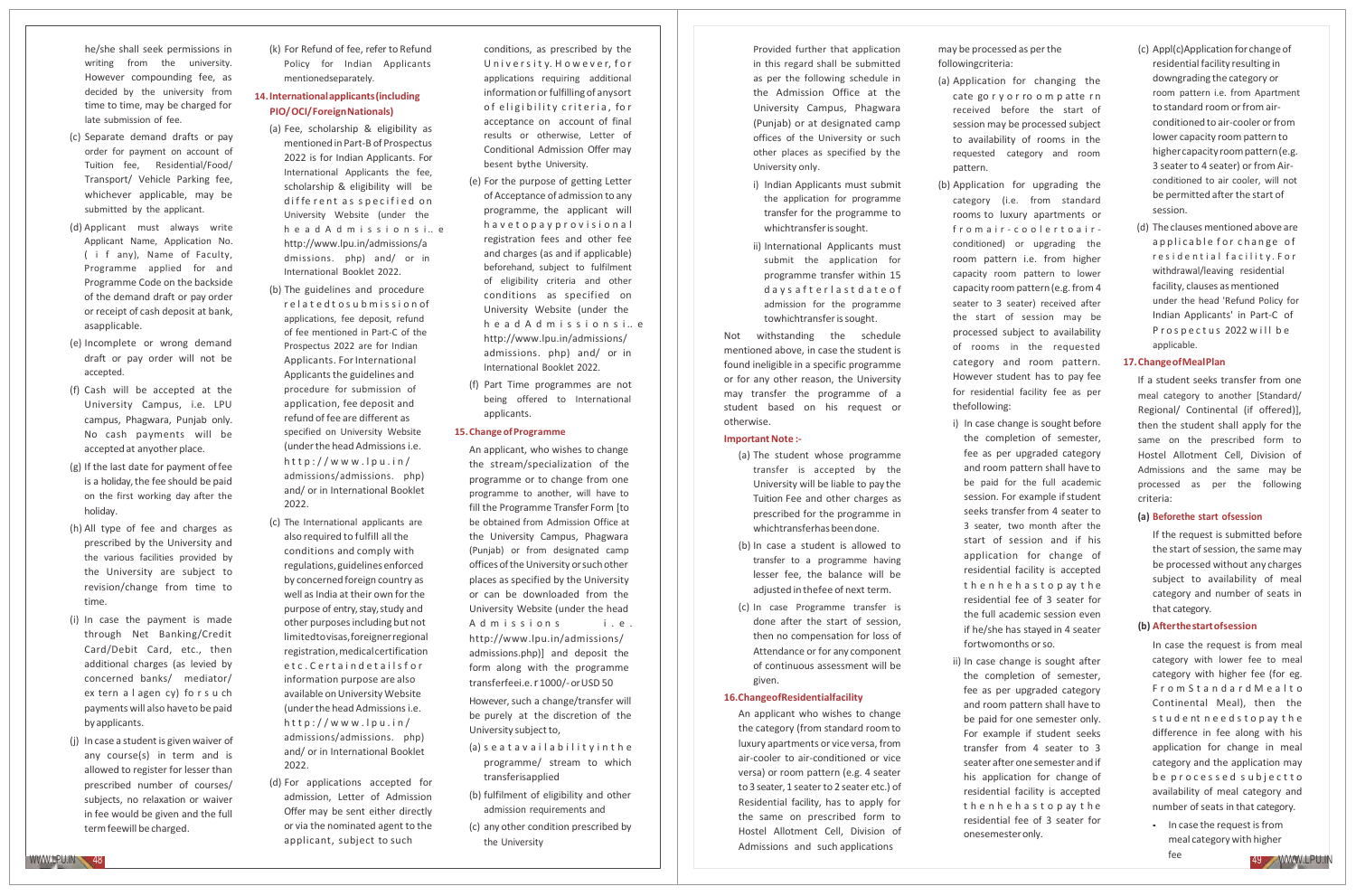he/she shall seek permissions in writing from the university. However compounding fee, as decided by the university from time to time, may be charged for late submission of fee.

- (c) Separate demand drafts or pay order for payment on account of Tuition fee, Residential/Food/ Transport/ Vehicle Parking fee, whichever applicable, may be submitted by the applicant.
- (d) Applicant must always write Applicant Name, Application No. ( i f any), Name of Faculty, Programme applied for and Programme Code on the backside of the demand draft or pay order or receipt of cash deposit at bank, asapplicable.
- (e) Incomplete or wrong demand draft or pay order will not be accepted.
- (f) Cash will be accepted at the University Campus, i.e. LPU campus, Phagwara, Punjab only. No cash payments will be accepted at anyother place.
- (g) If the last date for payment offee is a holiday, the fee should be paid on the first working day after the holiday.
- (h) All type of fee and charges as prescribed by the University and the various facilities provided by the University are subject to revision/change from time to time.
- (i) In case the payment is made through Net Banking/Credit Card/Debit Card, etc., then additional charges (as levied by concerned banks/ mediator/ ex tern a l agen cy) fo r s u ch payments will also haveto be paid byapplicants.
- (j) In case a student is given waiver of any course(s) in term and is allowed to register for lesser than prescribed number of courses/ subjects, no relaxation or waiver in fee would be given and the full termfeewill be charged.

(k) For Refund of fee, refer to Refund Policy for Indian Applicants mentionedseparately.

### **14.Internationalapplicants(including PIO/OCI/ForeignNationals)**

- (a) Fee, scholarship & eligibility as mentioned in Part‐B of Prospectus 2022 is for Indian Applicants. For International Applicants the fee, scholarship & eligibility will be different as specified on University Website (under the h e a d A d m i s s i o n s i.. e <http://www.lpu.in/admissions/a> dmissions. php) and/ or in International Booklet 2022.
- (b) The guidelines and procedure r e l a t e d t o s u b m i s s i o n of applications, fee deposit, refund of fee mentioned in Part‐C of the Prospectus 2022 are for Indian Applicants. For International Applicants the guidelines and procedure for submission of application, fee deposit and refund of fee are different as specified on University Website (under the head Admissions i.e.  $http://www.lpu.in/$ admissions/admissions. php) and/ or in International Booklet 2022.
- (c) The International applicants are also required to fulfill all the conditions and comply with regulations, guidelines enforced by concerned foreign country as well as India at their own for the purpose of entry, stay, study and other purposes including but not limitedtovisas,foreignerregional registration,medicalcertification etc. Certaind etails for information purpose are also available on University Website (under the head Admissions i.e.  $http://www.lpu.in/$ admissions/admissions. php) and/ or in International Booklet 2022.
- (d) For applications accepted for admission, Letter of Admission Offer may be sent either directly or via the nominated agent to the applicant, subject to such

conditions, as prescribed by the University, However, for applications requiring additional information or fulfilling of anysort of eligibility criteria, for acceptance on account of final results or otherwise, Letter of Conditional Admission Offer may besent bythe University.

- (e) For the purpose of getting Letter of Acceptance of admission to any programme, the applicant will h a v e t o p a y p r o v i s i o n a l registration fees and other fee and charges (as and if applicable) beforehand, subject to fulfilment of eligibility criteria and other conditions as specified on University Website (under the h e a d A d m i s s i o n s i .. e <http://www.lpu.in/admissions/> admissions. php) and/ or in International Booklet 2022.
- (f) Part Time programmes are not being offered to International applicants.

### **15.ChangeofProgramme**

An applicant, who wishes to change the stream/specialization of the programme or to change from one programme to another, will have to fill the Programme Transfer Form [to be obtained from Admission Office at the University Campus, Phagwara (Punjab) or from designated camp offices of the University or such other places as specified by the University or can be downloaded from the University Website (under the head A d m issions i.e. <http://www.lpu.in/admissions/> admissions.php)] and deposit the form along with the programme transferfeei.e.r1000/‐ orUSD 50

However, such a change/transfer will be purely at the discretion of the University subject to,

- (a) s e a t a v a i l a b i l i t y i n t h e programme/ stream to which transferisapplied
- (b) fulfilment of eligibility and other admission requirements and
- (c) any other condition prescribed by the University

Provided further that application in this regard shall be submitted as per the following schedule in the Admission Office at the University Campus, Phagwara (Punjab) or at designated camp offices of the University or such other places as specified by the University only.

- i) Indian Applicants must submit the application for programme transfer for the programme to whichtransfer is sought.
- ii) International Applicants must submit the application for programme transfer within 15 d a y s a f t e r l a s t d a t e o f admission for the programme towhichtransfer is sought.

Not withstanding the schedule mentioned above, in case the student is found ineligible in a specific programme or for any other reason, the University may transfer the programme of a student based on his request or otherwise.

### **Important Note** :-

- (a) The student whose programme transfer is accepted by the University will be liable to pay the Tuition Fee and other charges as prescribed for the programme in whichtransferhas been done.
- (b) In case a student is allowed to transfer to a programme having lesser fee, the balance will be adjusted in thefee of next term.
- (c) In case Programme transfer is done after the start of session, then no compensation for loss of Attendance or for any component of continuous assessment will be given.

### **16.ChangeofResidentialfacility**

An applicant who wishes to change the category (from standard room to luxury apartments or vice versa, from air‐cooler to air‐conditioned or vice versa) or room pattern (e.g. 4 seater to 3 seater, 1 seater to 2 seater etc.) of Residential facility, has to apply for the same on prescribed form to Hostel Allotment Cell, Division of Admissions and such applications

may be processed as perthe followingcriteria:

- (a) Application for changing the cate go r y o r ro o m p atte r n received before the start of session may be processed subject to availability of rooms in the requested category and room pattern.
- (b) Application for upgrading the category (i.e. from standard rooms to luxury apartments or from air - coolertoair conditioned) or upgrading the room pattern i.e. from higher capacity room pattern to lower capacity room pattern(e.g. from 4 seater to 3 seater) received after the start of session may be processed subject to availability of rooms in the requested category and room pattern. However student has to pay fee for residential facility fee as per thefollowing:
	- i) In case change is sought before the completion of semester, fee as per upgraded category and room pattern shall have to be paid for the full academic session. For example if student seeks transfer from 4 seater to 3 seater, two month after the start of session and if his application for change of residential facility is accepted t h e n h e h a s t o p ay t h e residential fee of 3 seater for the full academic session even if he/she has stayed in 4 seater fortwomonths or so.
	- ii) In case change is sought after the completion of semester, fee as per upgraded category and room pattern shall have to be paid for one semester only. For example if student seeks transfer from 4 seater to 3 seater after one semester and if his application for change of residential facility is accepted t h e n h e h a s t o p ay t h e residential fee of 3 seater for onesemesteronly.
- (c) Appl(c)Application for change of residential facility resulting in downgrading the category or room pattern i.e. from Apartment to standard room or from airconditioned to air-cooler or from lower capacity room pattern to highercapacityroompattern(e.g. 3 seater to 4 seater) or from Air‐ conditioned to air cooler, will not be permitted after the start of session.
- (d) The clauses mentioned above are a p p licable for change of r e s i d e n t i al f a c i l i t y . F o r withdrawal/leaving residential facility, clauses as mentioned under the head 'Refund Policy for Indian Applicants' in Part‐C of P r o s p e c t u s 2022 w ill b e applicable.

### **17.ChangeofMealPlan**

If a student seeks transfer from one meal category to another [Standard/ Regional/ Continental (if offered)], then the student shall apply for the same on the prescribed form to Hostel Allotment Cell, Division of Admissions and the same may be processed as per the following criteria:

### **(a) Beforethe start ofsession**

If the request is submitted before the start of session, the same may be processed without any charges subject to availability of meal category and number of seats in that category.

### **(b) Afterthestartofsession**

In case the request is from meal category with lower fee to meal category with higher fee (for eg. From Standard Mealto Continental Meal), then the s t u d e nt n e e d s t o p ay t h e difference in fee along with his application for change in meal category and the application may b e p r o c e s s e d s u b j e c t t o availability of meal category and number of seats in that category.

• In case the request is from meal category with higher

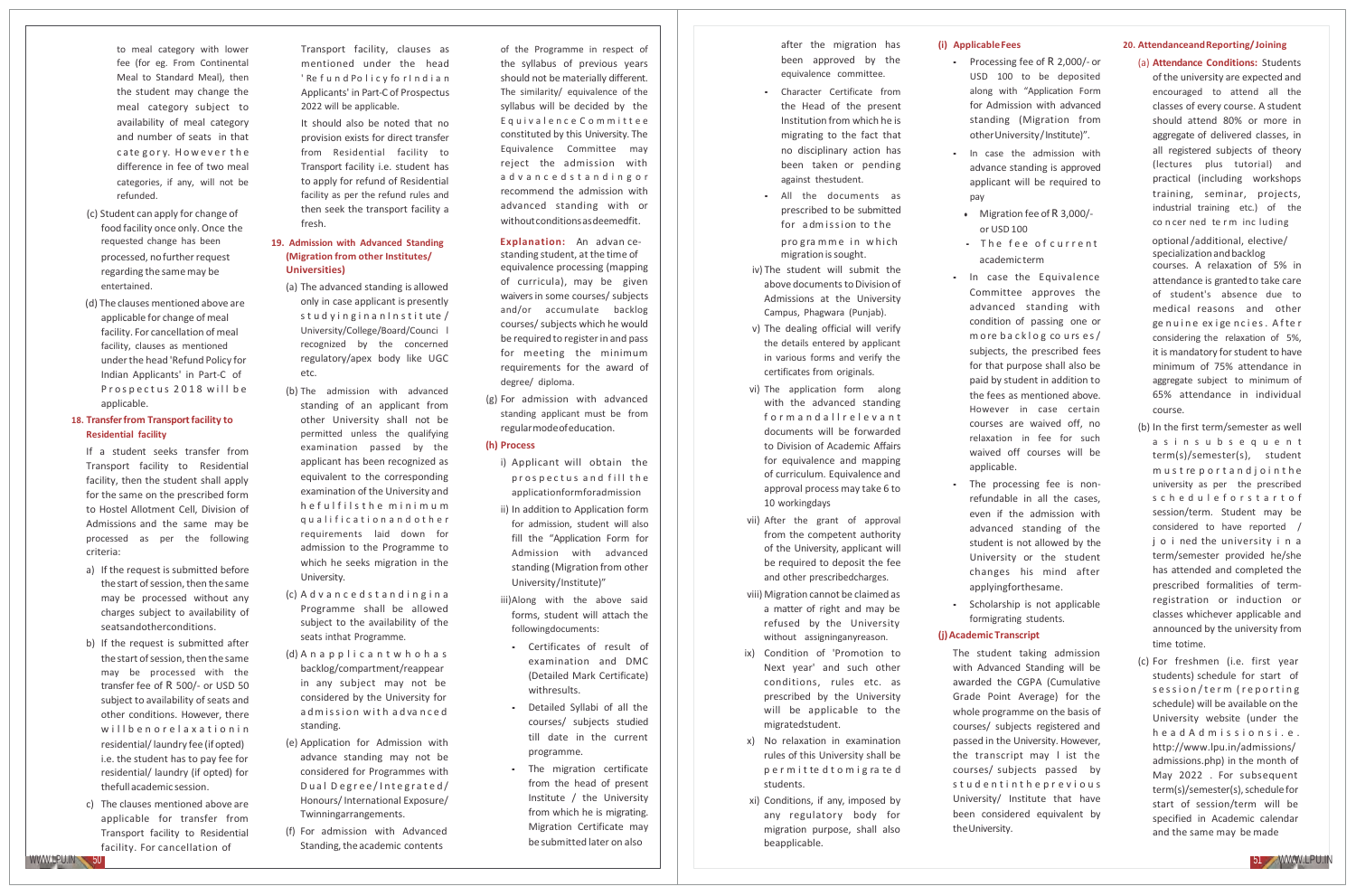- to meal category with lower fee (for eg. From Continental Meal to Standard Meal), then the student may change the meal category subject to availability of meal category and number of seats in that cate gory. However the difference in fee of two meal categories, if any, will not be refunded.
- (c) Student can apply for change of food facility once only. Once the processed, nofurther request regarding the same may be entertained.
- (d) The clauses mentioned above are applicable for change of meal facility. For cancellation of meal facility, clauses as mentioned underthe head 'Refund Policy for Indian Applicants' in Part‐C of Prospectus 2018 will be applicable.

### **18. Transferfrom Transportfacility to Residential facility**

- If a student seeks transfer from Transport facility to Residential facility, then the student shall apply for the same on the prescribed form to Hostel Allotment Cell, Division of Admissions and the same may be processed as per the following criteria:
- a) If the request is submitted before the start of session, then the same may be processed without any charges subject to availability of seatsandotherconditions.
- b) If the request is submitted after the start of session, then the same may be processed with the transfer fee of R 500/‐ or USD 50 subject to availability of seats and other conditions. However, there w ill b e n o r e l a x a t i o n i n residential/laundry fee (ifopted) i.e. the student has to pay fee for residential/ laundry (if opted) for thefull academic session.
- c) The clauses mentioned above are applicable for transfer from Transport facility to Residential facility. For cancellation of

Transport facility, clauses as mentioned under the head ' Re f u n d Po l i c y fo r I n d i a n Applicants' in Part‐C of Prospectus 2022 will be applicable.

It should also be noted that no provision exists for direct transfer from Residential facility to Transport facility i.e. student has to apply for refund of Residential facility as per the refund rules and then seek the transport facility a fresh.

## **(Migration from other Institutes/ Universities)**

- (a) The advanced standing is allowed only in case applicant is presently stud y inginan Institute / University/College/Board/Counci l recognized by the concerned regulatory/apex body like UGC etc.
- (b) The admission with advanced standing of an applicant from other University shall not be permitted unless the qualifying examination passed by the applicant has been recognized as equivalent to the corresponding examination of the University and h e f u l f i l s t h e m i n i m u m q u a l i f i c a t i o n a n d o t h e r requirements laid down for admission to the Programme to which he seeks migration in the University.
- (c) A d v a n c e d s t a n d i n g i n a Programme shall be allowed subject to the availability of the seats inthat Programme.
- (d) A n a p p l i c a n t w h o h a s backlog/compartment/reappear in any subject may not be considered by the University for admission with advanced standing.
- (e) Application for Admission with advance standing may not be considered for Programmes with D u al D e g r e e / I nt e g r a t e d / Honours/International Exposure/ Twinningarrangements.
- (f) For admission with Advanced Standing, the academic contents

of the Programme in respect of the syllabus of previous years should not be materially different. The similarity/ equivalence of the syllabus will be decided by the Equivalence Committee constituted by this University. The Equivalence Committee may reject the admission with a d v a n c e d s t a n d i n g o r recommend the admission with advanced standing with or withoutconditionsasdeemedfit.

requested change has been **19. Admission with Advanced Standing Explanation:** An advan ce- programme in which **The fee of current** optional/additional, elective/ standing student, at the time of equivalence processing (mapping of curricula), may be given waiversin some courses/ subjects and/or accumulate backlog courses/ subjects which he would be required to register in and pass for meeting the minimum requirements for the award of degree/ diploma.

> (g) For admission with advanced standing applicant must be from regularmodeofeducation.

### **(h) Process**

- i) Applicant will obtain the prospectus and fill the applicationformforadmission ii) In addition to Application form
- for admission, student will also fill the "Application Form for Admission with advanced standing (Migration from other University/Institute)"
- iii)Along with the above said forms, student will attach the followingdocuments:
- Certificates of result of examination and DMC (Detailed Mark Certificate) withresults.
- Detailed Syllabi of all the courses/ subjects studied till date in the current programme.
- The migration certificate from the head of present Institute / the University from which he is migrating. Migration Certificate may be submitted later on also

after the migration has been approved by the equivalence committee.

- Character Certificate from the Head of the present Institution from which he is migrating to the fact that no disciplinary action has been taken or pending against thestudent.
- All the documents as prescribed to be submitted for admission to the
- migration issought. iv) The student will submit the
- above documents to Division of Admissions at the University Campus, Phagwara (Punjab).
- v) The dealing official will verify the details entered by applicant in various forms and verify the certificates from originals.
- vi) The application form along with the advanced standing form and all relevant documents will be forwarded to Division of Academic Affairs for equivalence and mapping of curriculum. Equivalence and approval process may take 6 to 10 workingdays
- vii) After the grant of approval from the competent authority of the University, applicant will be required to deposit the fee and other prescribedcharges.
- viii) Migration cannot be claimed as a matter of right and may be refused by the University without assigninganyreason.
- ix) Condition of 'Promotion to Next year' and such other conditions, rules etc. as prescribed by the University will be applicable to the migratedstudent.
- x) No relaxation in examination rules of this University shall be p e r m i t te d t o m i g ra te d students.
- xi) Conditions, if any, imposed by any regulatory body for migration purpose, shall also beapplicable.

### **(i) ApplicableFees**

- Processing fee of R 2,000/‐ or USD 100 to be deposited along with "Application Form for Admission with advanced standing (Migration from otherUniversity/Institute)".
- In case the admission with advance standing is approved applicant will be required to pay
- Migration fee of R 3,000/ or USD 100
- academic term
- In case the Equivalence Committee approves the advanced standing with condition of passing one or m ore backlog cours es/ subjects, the prescribed fees for that purpose shall also be paid by student in addition to the fees as mentioned above. However in case certain courses are waived off, no relaxation in fee for such waived off courses will be applicable.
- The processing fee is non‐ refundable in all the cases, even if the admission with advanced standing of the student is not allowed by the University or the student changes his mind after applyingforthesame.
- Scholarship is not applicable formigrating students.

### **(j)Academic Transcript**

The student taking admission with Advanced Standing will be awarded the CGPA (Cumulative Grade Point Average) for the whole programme on the basis of courses/ subjects registered and passed in the University. However, the transcript may l ist the courses/ subjects passed by stud entinthe previous University/ Institute that have been considered equivalent by the University.

### **20. AttendanceandReporting/Joining**

### (a) **Attendance Conditions:** Students

of the university are expected and encouraged to attend all the classes of every course. A student should attend 80% or more in aggregate of delivered classes, in all registered subjects of theory (lectures plus tutorial) and practical (including workshops training, seminar, projects, industrial training etc.) of the concerned term including

specialization and backlog courses. A relaxation of 5% in attendance is granted to take care of student's absence due to medical reasons and other ge nuine exige ncies. After considering the relaxation of 5%, it is mandatory for student to have minimum of 75% attendance in aggregate subject to minimum of 65% attendance in individual course.

- (b) In the first term/semester as well
	- a s i n s u b s e q u e n t term(s)/semester(s), student m u s t re p o r t a n d j o i n t h e university as per the prescribed s c h e d u l e f o r s t a r t o f session/term. Student may be considered to have reported / j o i ned the university i n a term/semester provided he/she has attended and completed the prescribed formalities of term‐ registration or induction or classes whichever applicable and announced by the university from time totime.
- (c) For freshmen (i.e. first year students) schedule for start of s e s si o n / t e r m ( r e p o r t i n g schedule) will be available on the University website (under the h e a d A d m is s i o n s i . e . <http://www.lpu.in/admissions/> admissions.php) in the month of May 2022 . For subsequent term(s)/semester(s), schedule for start of session/term will be specified in Academic calendar and the same may be made

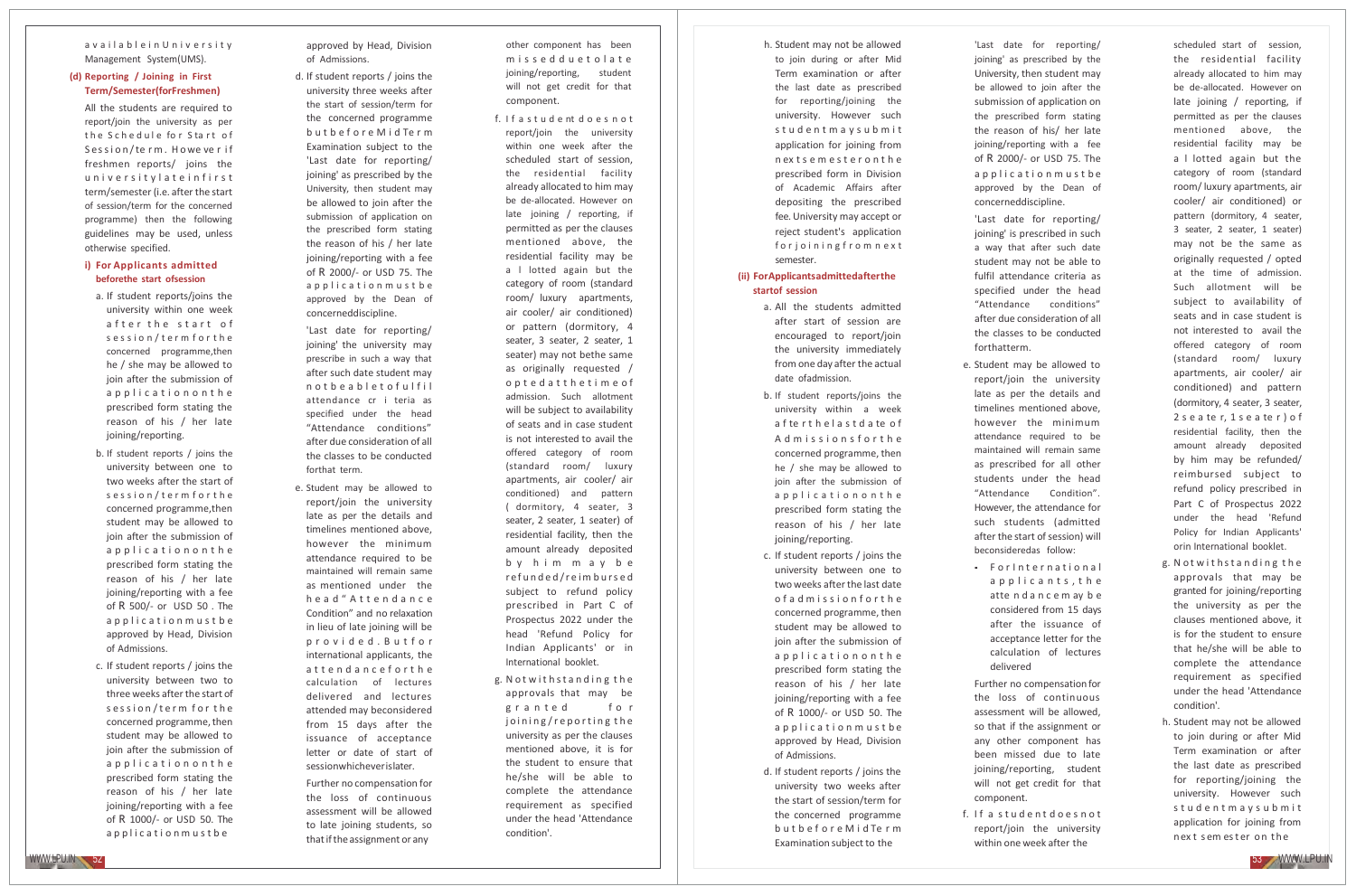### a v a i l a b l e i n U n i v e r s i t y Management System(UMS).

### **(d) Reporting / Joining in First Term/Semester(forFreshmen)**

All the students are required to report/join the university as per the Schedule for Start of Session/term. Howe verif freshmen reports/ joins the u n i v e r s i t y l a t e i n f i r s t term/semester (i.e. after the start of session/term for the concerned programme) then the following guidelines may be used, unless otherwise specified.

### **i) For Applicants admitted beforethe start ofsession**

- a. If student reports/joins the university within one week after the start of s e s s i o n / t e r m f o r t h e concerned programme,then he / she may be allowed to join after the submission of a p p l i c a t i o n o n t h e prescribed form stating the reason of his / her late joining/reporting.
- b. If student reports / joins the university between one to two weeks after the start of s e s s i o n / t e r m f o r t h e concerned programme,then student may be allowed to join after the submission of a p p l i c a t i o n o n t h e prescribed form stating the reason of his / her late joining/reporting with a fee of R 500/‐ or USD 5 0 . The a p p l i c a t i o n m u s t b e approved by Head, Division of Admissions.
- c. If student reports / jo ins the university between two to three weeks afterthe start of s ession/term for the concerned programme, then student may be allowed to join after the submission of a p p l i c a t i o n o n t h e prescribed form stating the reason of his / her late joining/reporting with a fee of R 1000/‐ or USD 50. The a p p l i c a t i o n m u s t b e

approved by Head, Division of Admissions.

d. If student reports / joins the university three weeks after the start of session/term for the concerned programme b u t b e f o r e M i d Te r m Examination subject to the 'Last date for reporting/ joining' as prescribed by the University, then student may be allowed to join after the submission of application on the prescribed form stating the reason of his / her late joining/reporting with a fee of R 2000/‐ or USD 75. The a p p l i c a t i o n m u s t b e approved by the Dean of concerneddiscipline.

'Last date for reporting/ joining' the university may prescribe in such a way that after such date student may n o t b e a b l e t o f u l f i l attendance cr i teria as specified under the head "Attendance conditions" after due consideration of all the classes to be conducted forthat term.

e. Student may be allowed to report/join the university late as per the details and timelines mentioned above, however the minimum attendance required to be maintained will remain same as mentioned under the h e a d " A t t e n d a n c e Condition" and no relaxation in lieu of late joining will be p r o v i d e d . B u t f o r international applicants, the attendanceforthe calculation of lectures delivered and lectures attended may beconsidered from 15 days after the issuance of acceptance letter or date of start of sessionwhicheverislater.

Further no compensation for the loss of continuous assessment will be allowed to late joining students, so thatiftheassignment or any

other component has been m i s s e d d u e t o l a t e joining/reporting, student will not get credit for that component.

- f. If a student doesn ot report/join the university within one week after the scheduled start of session, the residential facility already allocated to him may be de‐allocated. However on late joining / reporting, if permitted as per the clauses mentioned above, the residential facility may be a l lotted again but the category of room (standard room/ luxury apartments, air cooler/ air conditioned) or pattern (dormitory, 4 seater, 3 seater, 2 seater, 1 seater) may not bethe same as originally requested / o p t e d a t t h e t i m e o f admission. Such allotment will be subject to availability of seats and in case student is not interested to avail the offered category of room (standard room/ luxury apartments, air cooler/ air conditioned) and pattern ( dormitory, 4 seater, 3 seater, 2 seater, 1 seater) of residential facility, then the amount already deposited b y h i m m a y b e refunded/reimbursed subject to refund policy prescribed in Part C of Prospectus 2022 under the head 'Refund Policy for Indian Applicants' or in International booklet.
- g. Notwithstanding the approvals that may be granted for joining/reporting the university as per the clauses mentioned above, it is for the student to ensure that he/she will be able to complete the attendance requirement as specified under the head 'Attendance condition'.

h. Student may not be allowed to join during or after Mid Term examination or after the last date as prescribed for reporting/joining the university. However such s t u d e n t m a y s u b m i t application for joining from n ex t s e m e s t e r o n t h e prescribed form in Division of Academic Affairs after depositing the prescribed fee.University may accept or reject student's application for joining from next semester.

### **(ii) ForApplicantsadmittedafterthe startof session**

- a. All the students admitted after start of session are encouraged to report/join the university immediately from one day after the actual date ofadmission.
- b. If student reports/joins the university within a week a f te r t h e l a s t d a te o f A d m is s i o n s f o r t h e concerned programme, then he / she may be allowed to join after the submission of a p p l i c a t i o n o n t h e prescribed form stating the reason of his / her late joining/reporting.
- c. If student reports / joins the university between one to two weeks after the last date of a d m ission forthe concerned programme, then student may be allowed to join after the submission of a p p l i c a t i o n o n t h e prescribed form stating the reason of his / her late joining/reporting with a fee of R 1000/- or USD 50. The a p p l i c a t i o n m u s t b e approved by Head, Division of Admissions.
- d. If student reports / joins the university two weeks after the start of session/term for the concerned programme b u t b e f o r e M i d Te r m Examination subject to the

'Last date for reporting/ joining' as prescribed by the Univers ity, then student may be allowed to join after the submission of application on the prescribed form stating the reason of his/ her late joining/reporting with a fee of R 2000/‐ or USD 75. The a p p l i c a t i o n m u s t b e approved by the Dean of concerneddiscipline. 'Last date for reporting/

joining' is prescribed in such a way that after such date student may not be able to fulfil attendance criteria as specified unde r the head "Attendance conditions" after due consideration of all the classes to be conducted forthatterm.

- e. Student may be allowed to report/join the university late as per the details and timelines mentioned above, however the minimum attendance required t o be maintained will remain same as prescribed for all other students under the head "Attendance Condition". However, the attendance for such students (admitted after the start of session) will beconsideredas follow:
- For International a p p l i c a n t s, t h e atte n d a n c e m ay b e considered from 15 days after the issuance of acceptance letter for the calculation of lectures delivered
- Further no compensation for the loss of continuous assessment will be allowed, so that if the assignment or any other component has been missed due to late joining/reporting, student will not get credit for that
- f. If a student does not report/join the university within one week after the

component.

scheduled start of session, the residential facility already allocated to him may be de‐allocated. However on late joining / reporting, if permitted as per the clauses mentioned above, the residential facility may be a l lotted again but the category of room (standard room/ luxury apartments, air cooler/ air conditioned) or pattern (dormitory, 4 seater, 3 seater, 2 seater, 1 seater) may not be the same as originally requested / opted at the time of admission. Such allotment will be subject to availability of seats and in case student is not interested to avail the offered category of room (standard room/ luxury apartments, air cooler/ air conditioned) and pattern (dorm itory, 4 seater, 3 seater, 2 s e a te r, 1 s e a te r ) o f residential facility, then the amount already deposited by him may be refunded/ reimbursed subject to refund policy prescribed in Part C of Prospectus 2022 under the head 'Refund Policy for Indian Applicants' orin International booklet.

- g. Notwithstanding the approvals that may be granted for joining/reporting the university as per the clauses mentioned above, it is for the student to ensure that he/she will be able to complete the attendance requirement as specified under the head 'Attendance condition'.
- h. Student may not be allowed to join during or after Mid Term examination or after the last date as prescribed for reporting/joining the university. However such s t u d e n t m a y s u b m i t application for joining from next sem ester on the